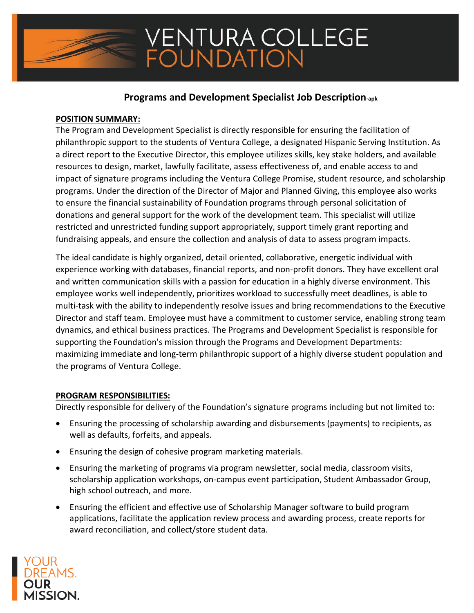### **Programs and Development Specialist Job Description-apk**

### **POSITION SUMMARY:**

The Program and Development Specialist is directly responsible for ensuring the facilitation of philanthropic support to the students of Ventura College, a designated Hispanic Serving Institution. As a direct report to the Executive Director, this employee utilizes skills, key stake holders, and available resources to design, market, lawfully facilitate, assess effectiveness of, and enable access to and impact of signature programs including the Ventura College Promise, student resource, and scholarship programs. Under the direction of the Director of Major and Planned Giving, this employee also works to ensure the financial sustainability of Foundation programs through personal solicitation of donations and general support for the work of the development team. This specialist will utilize restricted and unrestricted funding support appropriately, support timely grant reporting and fundraising appeals, and ensure the collection and analysis of data to assess program impacts.

The ideal candidate is highly organized, detail oriented, collaborative, energetic individual with experience working with databases, financial reports, and non-profit donors. They have excellent oral and written communication skills with a passion for education in a highly diverse environment. This employee works well independently, prioritizes workload to successfully meet deadlines, is able to multi-task with the ability to independently resolve issues and bring recommendations to the Executive Director and staff team. Employee must have a commitment to customer service, enabling strong team dynamics, and ethical business practices. The Programs and Development Specialist is responsible for supporting the Foundation's mission through the Programs and Development Departments: maximizing immediate and long-term philanthropic support of a highly diverse student population and the programs of Ventura College.

### **PROGRAM RESPONSIBILITIES:**

Directly responsible for delivery of the Foundation's signature programs including but not limited to:

- Ensuring the processing of scholarship awarding and disbursements (payments) to recipients, as well as defaults, forfeits, and appeals.
- Ensuring the design of cohesive program marketing materials.
- Ensuring the marketing of programs via program newsletter, social media, classroom visits, scholarship application workshops, on-campus event participation, Student Ambassador Group, high school outreach, and more.
- Ensuring the efficient and effective use of Scholarship Manager software to build program applications, facilitate the application review process and awarding process, create reports for award reconciliation, and collect/store student data.

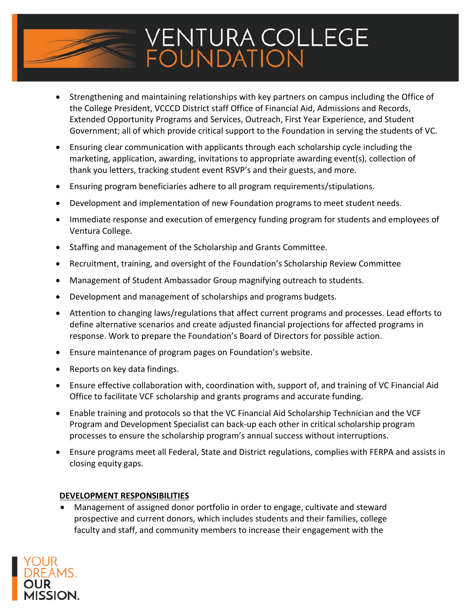

- Strengthening and maintaining relationships with key partners on campus including the Office of the College President, VCCCD District staff Office of Financial Aid, Admissions and Records, Extended Opportunity Programs and Services, Outreach, First Year Experience, and Student Government; all of which provide critical support to the Foundation in serving the students of VC.
- Ensuring clear communication with applicants through each scholarship cycle including the marketing, application, awarding, invitations to appropriate awarding event(s), collection of thank you letters, tracking student event RSVP's and their guests, and more.
- Ensuring program beneficiaries adhere to all program requirements/stipulations.
- Development and implementation of new Foundation programs to meet student needs.
- Immediate response and execution of emergency funding program for students and employees of Ventura College.
- Staffing and management of the Scholarship and Grants Committee.
- Recruitment, training, and oversight of the Foundation's Scholarship Review Committee
- Management of Student Ambassador Group magnifying outreach to students.
- Development and management of scholarships and programs budgets.
- Attention to changing laws/regulations that affect current programs and processes. Lead efforts to define alternative scenarios and create adjusted financial projections for affected programs in response. Work to prepare the Foundation's Board of Directors for possible action.
- Ensure maintenance of program pages on Foundation's website.
- Reports on key data findings.
- Ensure effective collaboration with, coordination with, support of, and training of VC Financial Aid Office to facilitate VCF scholarship and grants programs and accurate funding.
- Enable training and protocols so that the VC Financial Aid Scholarship Technician and the VCF Program and Development Specialist can back-up each other in critical scholarship program processes to ensure the scholarship program's annual success without interruptions.
- Ensure programs meet all Federal, State and District regulations, complies with FERPA and assists in closing equity gaps.

### **DEVELOPMENT RESPONSIBILITIES**

• Management of assigned donor portfolio in order to engage, cultivate and steward prospective and current donors, which includes students and their families, college faculty and staff, and community members to increase their engagement with the

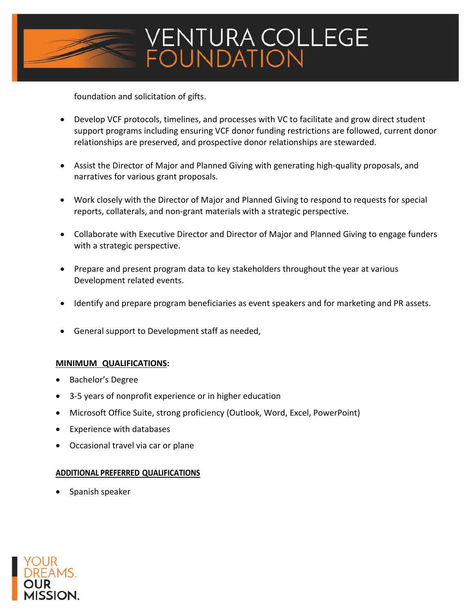

foundation and solicitation of gifts.

- Develop VCF protocols, timelines, and processes with VC to facilitate and grow direct student support programs including ensuring VCF donor funding restrictions are followed, current donor relationships are preserved, and prospective donor relationships are stewarded.
- Assist the Director of Major and Planned Giving with generating high-quality proposals, and narratives for various grant proposals.
- Work closely with the Director of Major and Planned Giving to respond to requests for special reports, collaterals, and non-grant materials with a strategic perspective.
- Collaborate with Executive Director and Director of Major and Planned Giving to engage funders with a strategic perspective.
- Prepare and present program data to key stakeholders throughout the year at various Development related events.
- Identify and prepare program beneficiaries as event speakers and for marketing and PR assets.
- General support to Development staff as needed,

### **MINIMUM QUALIFICATIONS:**

- Bachelor's Degree
- 3-5 years of nonprofit experience or in higher education
- Microsoft Office Suite, strong proficiency (Outlook, Word, Excel, PowerPoint)
- Experience with databases
- Occasional travel via car or plane

### **ADDITIONAL PREFERRED QUALIFICATIONS**

• Spanish speaker

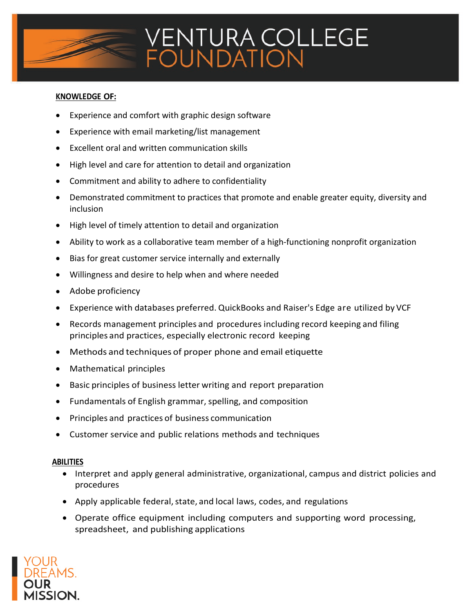

### **KNOWLEDGE OF:**

- Experience and comfort with graphic design software
- Experience with email marketing/list management
- Excellent oral and written communication skills
- High level and care for attention to detail and organization
- Commitment and ability to adhere to confidentiality
- Demonstrated commitment to practices that promote and enable greater equity, diversity and inclusion
- High level of timely attention to detail and organization
- Ability to work as a collaborative team member of a high-functioning nonprofit organization
- Bias for great customer service internally and externally
- Willingness and desire to help when and where needed
- Adobe proficiency
- Experience with databases preferred. QuickBooks and Raiser's Edge are utilized by VCF
- Records management principles and procedures including record keeping and filing principles and practices, especially electronic record keeping
- Methods and techniques of proper phone and email etiquette
- Mathematical principles
- Basic principles of business letter writing and report preparation
- Fundamentals of English grammar, spelling, and composition
- Principles and practices of business communication
- Customer service and public relations methods and techniques

### **ABILITIES**

- Interpret and apply general administrative, organizational, campus and district policies and procedures
- Apply applicable federal, state, and local laws, codes, and regulations
- Operate office equipment including computers and supporting word processing, spreadsheet, and publishing applications

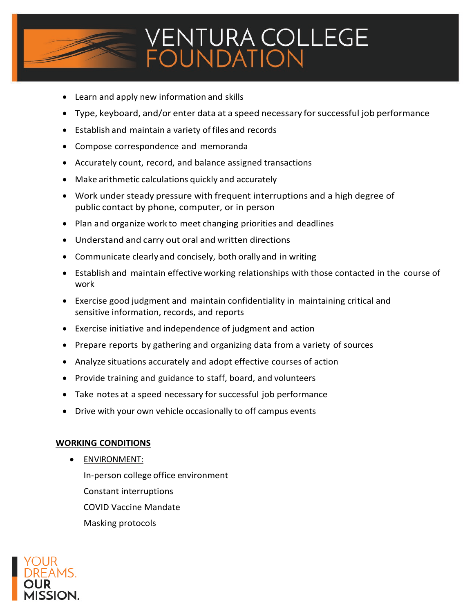

- Learn and apply new information and skills
- Type, keyboard, and/or enter data at a speed necessary for successful job performance
- Establish and maintain a variety of files and records
- Compose correspondence and memoranda
- Accurately count, record, and balance assigned transactions
- Make arithmetic calculations quickly and accurately
- Work under steady pressure with frequent interruptions and a high degree of public contact by phone, computer, or in person
- Plan and organize work to meet changing priorities and deadlines
- Understand and carry out oral and written directions
- Communicate clearly and concisely, both orally and in writing
- Establish and maintain effective working relationships with those contacted in the course of work
- Exercise good judgment and maintain confidentiality in maintaining critical and sensitive information, records, and reports
- Exercise initiative and independence of judgment and action
- Prepare reports by gathering and organizing data from a variety of sources
- Analyze situations accurately and adopt effective courses of action
- Provide training and guidance to staff, board, and volunteers
- Take notes at a speed necessary for successful job performance
- Drive with your own vehicle occasionally to off campus events

### **WORKING CONDITIONS**

• ENVIRONMENT: In-person college office environment Constant interruptions COVID Vaccine Mandate Masking protocols